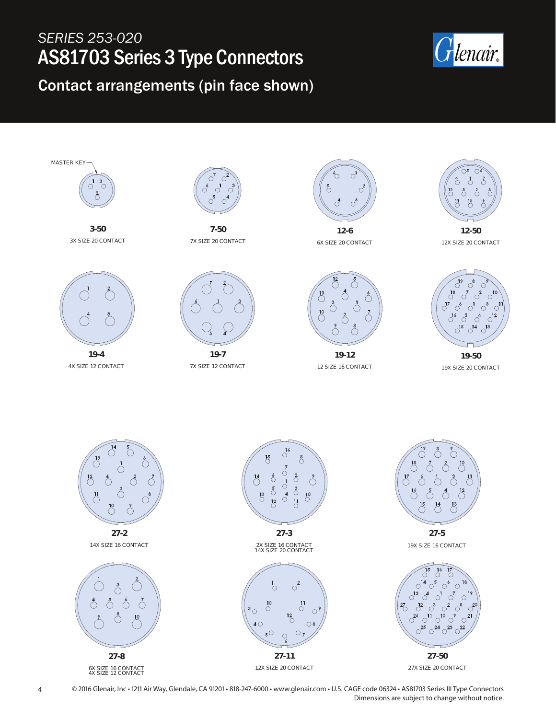## *SERIES 253-020* AS81703 Series 3 Type Connectors

## Contact arrangements (pin face shown)





**3-50** 3X SIZE 20 CONTACT



4X SIZE 12 CONTACT



**7-50** 7X SIZE 20 CONTACT



7X SIZE 12 CONTACT



6X SIZE 20 CONTACT



**19-12** 12 SIZE 16 CONTACT



12X SIZE 20 CONTACT



**19-50** 19X SIZE 20 CONTACT



6X SIZE 16 CONTACT 4X SIZE 12 CONTACT

12X SIZE 20 CONTACT

4 © 2016 Glenair, Inc • 1211 Air Way, Glendale, CA 91201 • 818-247-6000 • www.glenair.com • U.S. CAGE code 06324 • AS81703 Series III Type Connectors Dimensions are subject to change without notice.